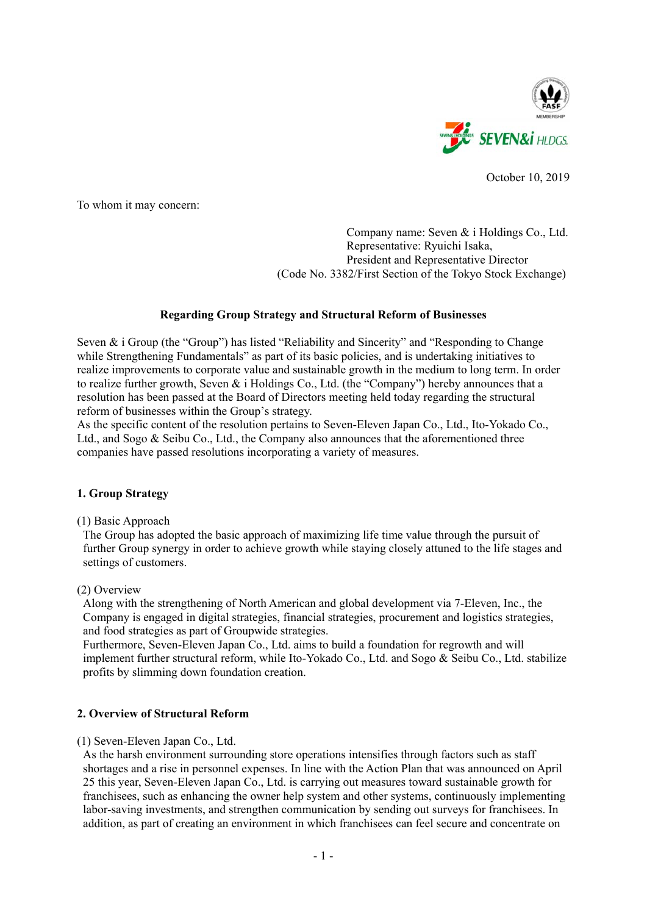

October 10, 2019

To whom it may concern:

## Company name: Seven & i Holdings Co., Ltd. Representative: Ryuichi Isaka, President and Representative Director (Code No. 3382/First Section of the Tokyo Stock Exchange)

# **Regarding Group Strategy and Structural Reform of Businesses**

Seven & i Group (the "Group") has listed "Reliability and Sincerity" and "Responding to Change while Strengthening Fundamentals" as part of its basic policies, and is undertaking initiatives to realize improvements to corporate value and sustainable growth in the medium to long term. In order to realize further growth, Seven & i Holdings Co., Ltd. (the "Company") hereby announces that a resolution has been passed at the Board of Directors meeting held today regarding the structural reform of businesses within the Group's strategy.

As the specific content of the resolution pertains to Seven-Eleven Japan Co., Ltd., Ito-Yokado Co., Ltd., and Sogo & Seibu Co., Ltd., the Company also announces that the aforementioned three companies have passed resolutions incorporating a variety of measures.

## **1. Group Strategy**

(1) Basic Approach

The Group has adopted the basic approach of maximizing life time value through the pursuit of further Group synergy in order to achieve growth while staying closely attuned to the life stages and settings of customers.

## (2) Overview

Along with the strengthening of North American and global development via 7-Eleven, Inc., the Company is engaged in digital strategies, financial strategies, procurement and logistics strategies, and food strategies as part of Groupwide strategies.

Furthermore, Seven-Eleven Japan Co., Ltd. aims to build a foundation for regrowth and will implement further structural reform, while Ito-Yokado Co., Ltd. and Sogo & Seibu Co., Ltd. stabilize profits by slimming down foundation creation.

# **2. Overview of Structural Reform**

## (1) Seven-Eleven Japan Co., Ltd.

As the harsh environment surrounding store operations intensifies through factors such as staff shortages and a rise in personnel expenses. In line with the Action Plan that was announced on April 25 this year, Seven-Eleven Japan Co., Ltd. is carrying out measures toward sustainable growth for franchisees, such as enhancing the owner help system and other systems, continuously implementing labor-saving investments, and strengthen communication by sending out surveys for franchisees. In addition, as part of creating an environment in which franchisees can feel secure and concentrate on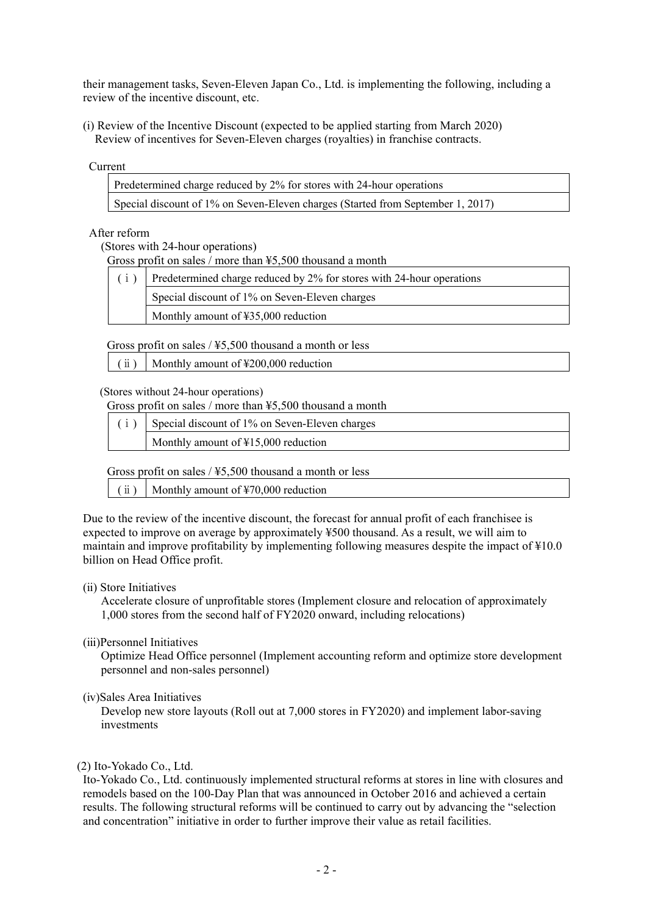their management tasks, Seven-Eleven Japan Co., Ltd. is implementing the following, including a review of the incentive discount, etc.

(ⅰ) Review of the Incentive Discount (expected to be applied starting from March 2020) Review of incentives for Seven-Eleven charges (royalties) in franchise contracts.

## Current

| Predetermined charge reduced by 2% for stores with 24-hour operations           |  |
|---------------------------------------------------------------------------------|--|
| Special discount of 1% on Seven-Eleven charges (Started from September 1, 2017) |  |

# After reform

(Stores with 24-hour operations)

| Gross profit on sales / more than $45,500$ thousand a month |
|-------------------------------------------------------------|
|-------------------------------------------------------------|

| Predetermined charge reduced by 2% for stores with 24-hour operations |  |  |
|-----------------------------------------------------------------------|--|--|
| Special discount of 1% on Seven-Eleven charges                        |  |  |
| Monthly amount of ¥35,000 reduction                                   |  |  |
|                                                                       |  |  |

Gross profit on sales / ¥5,500 thousand a month or less

(ⅱ) Monthly amount of ¥200,000 reduction

(Stores without 24-hour operations)

Gross profit on sales / more than ¥5,500 thousand a month

| (i) Special discount of 1% on Seven-Eleven charges |  |
|----------------------------------------------------|--|
| Monthly amount of $\text{\#15,000}$ reduction      |  |

Gross profit on sales  $/$  ¥5,500 thousand a month or less

 $(iii)$  Monthly amount of ¥70,000 reduction

Due to the review of the incentive discount, the forecast for annual profit of each franchisee is expected to improve on average by approximately ¥500 thousand. As a result, we will aim to maintain and improve profitability by implementing following measures despite the impact of ¥10.0 billion on Head Office profit.

## (ⅱ) Store Initiatives

 Accelerate closure of unprofitable stores (Implement closure and relocation of approximately 1,000 stores from the second half of FY2020 onward, including relocations)

(ⅲ)Personnel Initiatives

 Optimize Head Office personnel (Implement accounting reform and optimize store development personnel and non-sales personnel)

(ⅳ)Sales Area Initiatives

 Develop new store layouts (Roll out at 7,000 stores in FY2020) and implement labor-saving investments

## (2) Ito-Yokado Co., Ltd.

Ito-Yokado Co., Ltd. continuously implemented structural reforms at stores in line with closures and remodels based on the 100-Day Plan that was announced in October 2016 and achieved a certain results. The following structural reforms will be continued to carry out by advancing the "selection and concentration" initiative in order to further improve their value as retail facilities.